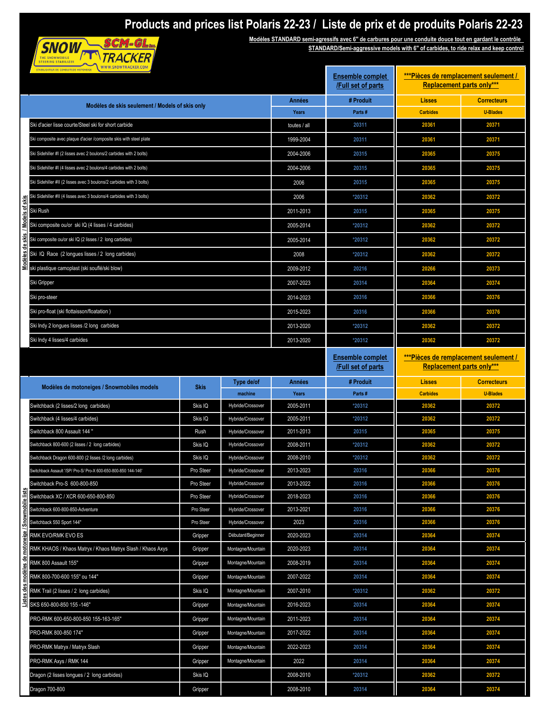## **Products and prices list Polaris 22-23 / Liste de prix et de produits Polaris 22-23**



**Modèles STANDARD semi-agressifs avec 6'' de carbures pour une conduite douce tout en gardant le contrôle STANDARD/Semi-aggressive models with 6'' of carbides, to ride relax and keep control**

| STABLISATEUR DE CONDUITE DE MOTONEIGE WWW.SNOWTRACKER.COM            | <b>Ensemble complet</b><br>/Full set of parts | *** Pièces de remplacement seulement /<br><b>Replacement parts only***</b> |                        |                                               |                                                                           |                    |
|----------------------------------------------------------------------|-----------------------------------------------|----------------------------------------------------------------------------|------------------------|-----------------------------------------------|---------------------------------------------------------------------------|--------------------|
| Modèles de skis seulement / Models of skis only                      |                                               |                                                                            | Années                 | # Produit                                     | <b>Lisses</b>                                                             | <b>Correcteurs</b> |
|                                                                      |                                               |                                                                            | Years                  | Parts#                                        | <b>Carbides</b>                                                           | <b>U-Blades</b>    |
| Ski d'acier lisse courte/Steel ski for short carbide                 |                                               |                                                                            | toutes / all           | 20311                                         | 20361                                                                     | 20371              |
| Ski composite avec plaque d'acier /composite skis with steel plate   |                                               |                                                                            | 1999-2004              | 20311                                         | 20361                                                                     | 20371              |
| Ski Sidehiller #I (2 lisses avec 2 boulons/2 carbides with 2 bolts)  |                                               |                                                                            | 2004-2006              | 20315                                         | 20365                                                                     | 20375              |
| Ski Sidehiller #I (4 lisses avec 2 boulons/4 carbides with 2 bolts)  |                                               |                                                                            | 2004-2006              | 20315                                         | 20365                                                                     | 20375              |
| Ski Sidehiller #II (2 lisses avec 3 boulons/2 carbides with 3 bolts) |                                               |                                                                            | 2006                   | 20315                                         | 20365                                                                     | 20375              |
| Ski Sidehiller #II (4 lisses avec 3 boulons/4 carbides with 3 bolts) |                                               |                                                                            | 2006                   | *20312                                        | 20362                                                                     | 20372              |
| Ski Rush                                                             |                                               |                                                                            | 2011-2013              | 20315                                         | 20365                                                                     | 20375              |
| Ski composite ou/or ski IQ (4 lisses / 4 carbides)                   |                                               |                                                                            | 2005-2014              | *20312                                        | 20362                                                                     | 20372              |
| Ski composite ou/or ski IQ (2 lisses / 2 long carbides)              |                                               |                                                                            | 2005-2014              | *20312                                        | 20362                                                                     | 20372              |
| Ski IQ Race (2 longues lisses / 2 long carbides)                     |                                               |                                                                            | 2008                   | *20312                                        | 20362                                                                     | 20372              |
| ski plastique camoplast (ski souflé/ski blow)                        |                                               |                                                                            | 2009-2012              | 20216                                         | 20266                                                                     | 20373              |
| Ski Gripper                                                          |                                               |                                                                            | 2007-2023              | 20314                                         | 20364                                                                     | 20374              |
| Ski pro-steer                                                        |                                               |                                                                            | 2014-2023              | 20316                                         | 20366                                                                     | 20376              |
| Ski pro-float (ski flottaisson/floatation)                           |                                               |                                                                            | 2015-2023              | 20316                                         | 20366                                                                     | 20376              |
| Ski Indy 2 longues lisses /2 long carbides                           |                                               |                                                                            | 2013-2020              | *20312                                        | 20362                                                                     | 20372              |
| Ski Indy 4 lisses/4 carbides                                         |                                               |                                                                            | 2013-2020              | *20312                                        | 20362                                                                     | 20372              |
|                                                                      |                                               |                                                                            |                        | <b>Ensemble complet</b><br>/Full set of parts | ***Pièces de remplacement seulement /<br><b>Replacement parts only***</b> |                    |
| Modèles de motoneiges / Snowmobiles models                           | <b>Skis</b>                                   | Type de/of                                                                 | Années                 | # Produit                                     | <b>Lisses</b>                                                             | <b>Correcteurs</b> |
|                                                                      |                                               | machine                                                                    | Years                  | Parts#                                        | <b>Carbides</b>                                                           | <b>U-Blades</b>    |
| Switchback (2 lisses/2 long carbides)                                | Skis IQ                                       | Hybride/Crossover                                                          | 2005-2011              | *20312                                        | 20362                                                                     | 20372              |
| Switchback (4 lisses/4 carbides)<br>Switchback 800 Assault 144 "     | Skis IQ                                       | Hybride/Crossover<br>Hybride/Crossover                                     | 2005-2011<br>2011-2013 | *20312<br>20315                               | 20362<br>20365                                                            | 20372              |
| Switchback 800-600 (2 lisses / 2 long carbides)                      | Rush<br>Skis IQ                               | Hybride/Crossover                                                          | 2008-2011              | *20312                                        | 20362                                                                     | 20375<br>20372     |
| Switchback Dragon 600-800 (2 lisses /2 long carbides)                | Skis IQ                                       | Hybride/Crossover                                                          | 2008-2010              | *20312                                        | 20362                                                                     | 20372              |
| /witchback Assault //SP/ Pro-S/ Pro-X 600-650-800-850 144-146        | Pro Steer                                     | Hybride/Crossover                                                          | 2013-2023              | 20316                                         | 20366                                                                     | 20376              |
| Switchback Pro-S 600-800-850                                         | Pro Steer                                     | Hybride/Crossover                                                          | 2013-2022              | 20316                                         | 20366                                                                     | 20376              |
| <u>ن</u><br>Switchback XC / XCR 600-650-800-850<br>q                 | Pro Steer                                     | Hybride/Crossover                                                          | 2018-2023              | 20316                                         | 20366                                                                     | 20376              |
| Switchback 600-800-850-Adventure                                     | Pro Steer                                     | Hybride/Crossover                                                          | 2013-2021              | 20316                                         | 20366                                                                     | 20376              |
| Switchback 550 Sport 144"                                            | Pro Steer                                     | Hybride/Crossover                                                          | 2023                   | 20316                                         | 20366                                                                     | 20376              |
| RMK EVO/RMK EVO ES                                                   | Gripper                                       | Débutant/Beginner                                                          | 2020-2023              | 20314                                         | 20364                                                                     | 20374              |
| RMK KHAOS / Khaos Matryx / Khaos Matryx Slash / Khaos Axys           | Gripper                                       | Montagne/Mountain                                                          | 2020-2023              | 20314                                         | 20364                                                                     | 20374              |
| RMK 800 Assault 155"                                                 | Gripper                                       | Montagne/Mountain                                                          | 2008-2019              | 20314                                         | 20364                                                                     | 20374              |
| RMK 800-700-600 155" ou 144"                                         | Gripper                                       | Montagne/Mountain                                                          | 2007-2022              | 20314                                         | 20364                                                                     | 20374              |
| RMK Trail (2 lisses / 2 long carbides)                               | Skis IQ                                       | Montagne/Mountain                                                          | 2007-2010              | *20312                                        | 20362                                                                     | 20372              |
| SKS 650-800-850 155-146"<br>Ξ                                        | Gripper                                       | Montagne/Mountain                                                          | 2016-2023              | 20314                                         | 20364                                                                     | 20374              |
| PRO-RMK 600-650-800-850 155-163-165"                                 | Gripper                                       | Montagne/Mountain                                                          | 2011-2023              | 20314                                         | 20364                                                                     | 20374              |
| PRO-RMK 800-850 174"                                                 | Gripper                                       | Montagne/Mountain                                                          | 2017-2022              | 20314                                         | 20364                                                                     | 20374              |
| PRO-RMK Matryx / Matryx Slash                                        | Gripper                                       | Montagne/Mountain                                                          | 2022-2023              | 20314                                         | 20364                                                                     | 20374              |
|                                                                      |                                               |                                                                            |                        |                                               |                                                                           |                    |
| PRO-RMK Axys / RMK 144                                               | Gripper                                       | Montagne/Mountain                                                          | 2022                   | 20314                                         | 20364                                                                     | 20374              |
| Dragon (2 lisses longues / 2 long carbides)                          | Skis IQ                                       |                                                                            | 2008-2010              | *20312                                        | 20362                                                                     | 20372              |